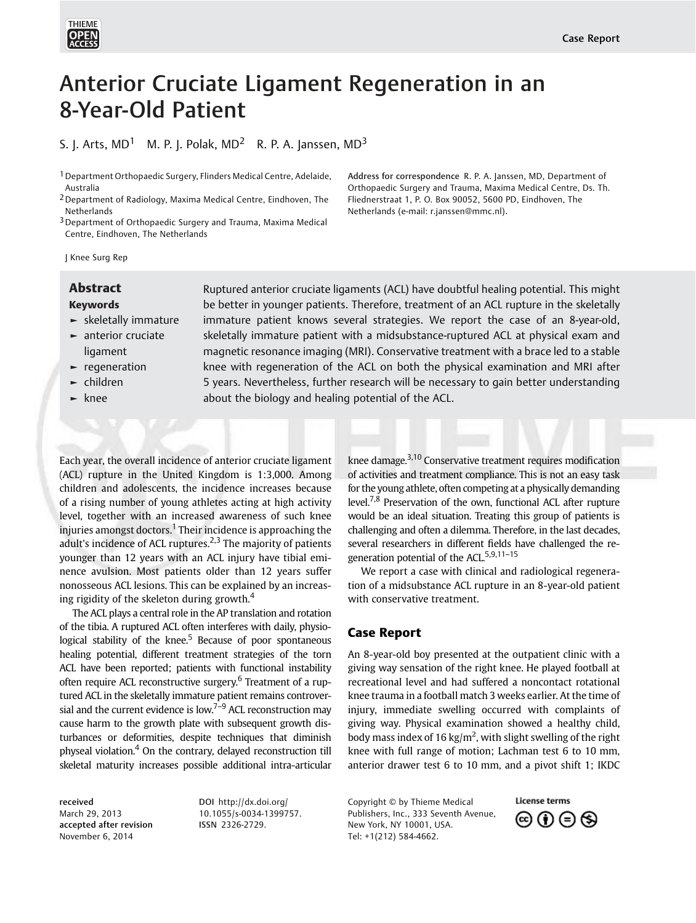

# Anterior Cruciate Ligament Regeneration in an 8-Year-Old Patient

S. J. Arts,  $MD<sup>1</sup>$  M. P. J. Polak,  $MD<sup>2</sup>$  R. P. A. Janssen,  $MD<sup>3</sup>$ 

<sup>1</sup> Department Orthopaedic Surgery, Flinders Medical Centre, Adelaide, Australia

2Department of Radiology, Maxima Medical Centre, Eindhoven, The Netherlands

3Department of Orthopaedic Surgery and Trauma, Maxima Medical Centre, Eindhoven, The Netherlands

Address for correspondence R. P. A. Janssen, MD, Department of Orthopaedic Surgery and Trauma, Maxima Medical Centre, Ds. Th. Fliednerstraat 1, P. O. Box 90052, 5600 PD, Eindhoven, The Netherlands (e-mail: [r.janssen@mmc.nl](mailto:r.janssen@mmc.nl)).

J Knee Surg Rep

## Keywords

- ► skeletally immature
- ► anterior cruciate ligament
- ► regeneration
- ► children
- ► knee

**Abstract** Ruptured anterior cruciate ligaments (ACL) have doubtful healing potential. This might be better in younger patients. Therefore, treatment of an ACL rupture in the skeletally immature patient knows several strategies. We report the case of an 8-year-old, skeletally immature patient with a midsubstance-ruptured ACL at physical exam and magnetic resonance imaging (MRI). Conservative treatment with a brace led to a stable knee with regeneration of the ACL on both the physical examination and MRI after 5 years. Nevertheless, further research will be necessary to gain better understanding about the biology and healing potential of the ACL.

Each year, the overall incidence of anterior cruciate ligament (ACL) rupture in the United Kingdom is 1:3,000. Among children and adolescents, the incidence increases because of a rising number of young athletes acting at high activity level, together with an increased awareness of such knee injuries amongst doctors.<sup>1</sup> Their incidence is approaching the adult's incidence of ACL ruptures.<sup>2,3</sup> The majority of patients younger than 12 years with an ACL injury have tibial eminence avulsion. Most patients older than 12 years suffer nonosseous ACL lesions. This can be explained by an increasing rigidity of the skeleton during growth. $4$ 

The ACL plays a central role in the AP translation and rotation of the tibia. A ruptured ACL often interferes with daily, physiological stability of the knee.<sup>5</sup> Because of poor spontaneous healing potential, different treatment strategies of the torn ACL have been reported; patients with functional instability often require ACL reconstructive surgery.<sup>6</sup> Treatment of a ruptured ACL in the skeletally immature patient remains controversial and the current evidence is low.<sup>7-9</sup> ACL reconstruction may cause harm to the growth plate with subsequent growth disturbances or deformities, despite techniques that diminish physeal violation.<sup>4</sup> On the contrary, delayed reconstruction till skeletal maturity increases possible additional intra-articular

received March 29, 2013 accepted after revision November 6, 2014

DOI [http://dx.doi.org/](http://dx.doi.org/10.1055/s-0034-1399757) [10.1055/s-0034-1399757](http://dx.doi.org/10.1055/s-0034-1399757). ISSN 2326-2729.

knee damage.3,10 Conservative treatment requires modification of activities and treatment compliance. This is not an easy task for the young athlete, often competing at a physically demanding level.<sup>7,8</sup> Preservation of the own, functional ACL after rupture would be an ideal situation. Treating this group of patients is challenging and often a dilemma. Therefore, in the last decades, several researchers in different fields have challenged the regeneration potential of the ACL.<sup>5,9,11-15</sup>

We report a case with clinical and radiological regeneration of a midsubstance ACL rupture in an 8-year-old patient with conservative treatment.

# Case Report

An 8-year-old boy presented at the outpatient clinic with a giving way sensation of the right knee. He played football at recreational level and had suffered a noncontact rotational knee trauma in a football match 3 weeks earlier. At the time of injury, immediate swelling occurred with complaints of giving way. Physical examination showed a healthy child, body mass index of 16 kg/m<sup>2</sup>, with slight swelling of the right knee with full range of motion; Lachman test 6 to 10 mm, anterior drawer test 6 to 10 mm, and a pivot shift 1; IKDC

Copyright © by Thieme Medical Publishers, Inc., 333 Seventh Avenue, New York, NY 10001, USA. Tel: +1(212) 584-4662.

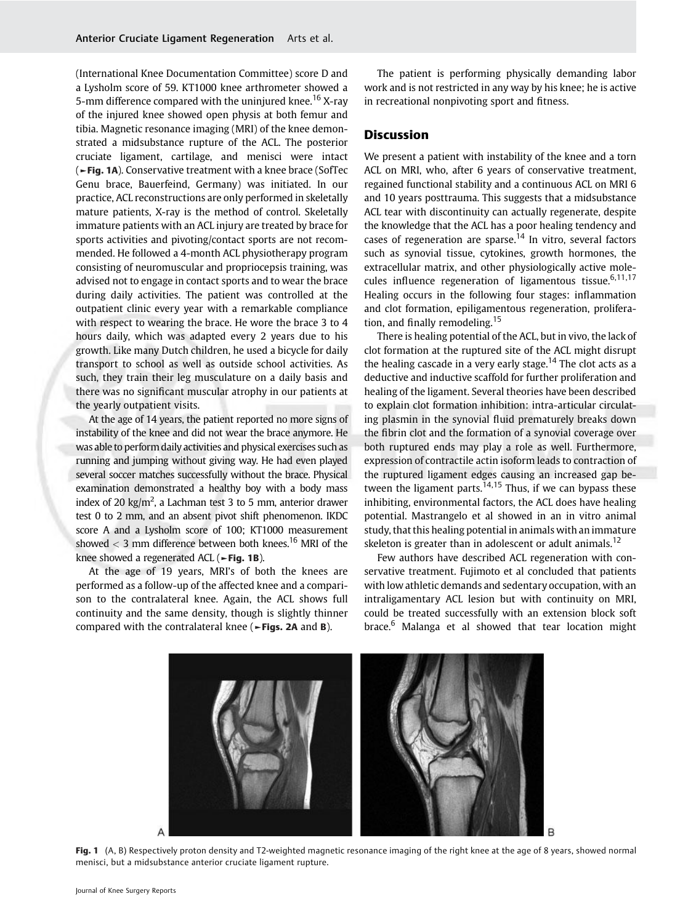(International Knee Documentation Committee) score D and a Lysholm score of 59. KT1000 knee arthrometer showed a 5-mm difference compared with the uninjured knee.<sup>16</sup> X-ray of the injured knee showed open physis at both femur and tibia. Magnetic resonance imaging (MRI) of the knee demonstrated a midsubstance rupture of the ACL. The posterior cruciate ligament, cartilage, and menisci were intact (►Fig. 1A). Conservative treatment with a knee brace (SofTec Genu brace, Bauerfeind, Germany) was initiated. In our practice, ACL reconstructions are only performed in skeletally mature patients, X-ray is the method of control. Skeletally immature patients with an ACL injury are treated by brace for sports activities and pivoting/contact sports are not recommended. He followed a 4-month ACL physiotherapy program consisting of neuromuscular and propriocepsis training, was advised not to engage in contact sports and to wear the brace during daily activities. The patient was controlled at the outpatient clinic every year with a remarkable compliance with respect to wearing the brace. He wore the brace 3 to 4 hours daily, which was adapted every 2 years due to his growth. Like many Dutch children, he used a bicycle for daily transport to school as well as outside school activities. As such, they train their leg musculature on a daily basis and there was no significant muscular atrophy in our patients at the yearly outpatient visits.

At the age of 14 years, the patient reported no more signs of instability of the knee and did not wear the brace anymore. He was able to perform daily activities and physical exercises such as running and jumping without giving way. He had even played several soccer matches successfully without the brace. Physical examination demonstrated a healthy boy with a body mass index of 20 kg/m<sup>2</sup>, a Lachman test 3 to 5 mm, anterior drawer test 0 to 2 mm, and an absent pivot shift phenomenon. IKDC score A and a Lysholm score of 100; KT1000 measurement showed  $<$  3 mm difference between both knees.<sup>16</sup> MRI of the knee showed a regenerated ACL ( $\blacktriangleright$  Fig. 1B).

At the age of 19 years, MRI's of both the knees are performed as a follow-up of the affected knee and a comparison to the contralateral knee. Again, the ACL shows full continuity and the same density, though is slightly thinner compared with the contralateral knee (►Figs. 2A and B).

The patient is performing physically demanding labor work and is not restricted in any way by his knee; he is active in recreational nonpivoting sport and fitness.

# **Discussion**

We present a patient with instability of the knee and a torn ACL on MRI, who, after 6 years of conservative treatment, regained functional stability and a continuous ACL on MRI 6 and 10 years posttrauma. This suggests that a midsubstance ACL tear with discontinuity can actually regenerate, despite the knowledge that the ACL has a poor healing tendency and cases of regeneration are sparse.<sup>14</sup> In vitro, several factors such as synovial tissue, cytokines, growth hormones, the extracellular matrix, and other physiologically active molecules influence regeneration of ligamentous tissue.<sup>6,11,17</sup> Healing occurs in the following four stages: inflammation and clot formation, epiligamentous regeneration, proliferation, and finally remodeling.<sup>15</sup>

There is healing potential of the ACL, but in vivo, the lack of clot formation at the ruptured site of the ACL might disrupt the healing cascade in a very early stage.<sup>14</sup> The clot acts as a deductive and inductive scaffold for further proliferation and healing of the ligament. Several theories have been described to explain clot formation inhibition: intra-articular circulating plasmin in the synovial fluid prematurely breaks down the fibrin clot and the formation of a synovial coverage over both ruptured ends may play a role as well. Furthermore, expression of contractile actin isoform leads to contraction of the ruptured ligament edges causing an increased gap between the ligament parts. $14,15$  Thus, if we can bypass these inhibiting, environmental factors, the ACL does have healing potential. Mastrangelo et al showed in an in vitro animal study, that this healing potential in animals with an immature skeleton is greater than in adolescent or adult animals.<sup>12</sup>

Few authors have described ACL regeneration with conservative treatment. Fujimoto et al concluded that patients with low athletic demands and sedentary occupation, with an intraligamentary ACL lesion but with continuity on MRI, could be treated successfully with an extension block soft brace.<sup>6</sup> Malanga et al showed that tear location might



Fig. 1 (A, B) Respectively proton density and T2-weighted magnetic resonance imaging of the right knee at the age of 8 years, showed normal menisci, but a midsubstance anterior cruciate ligament rupture.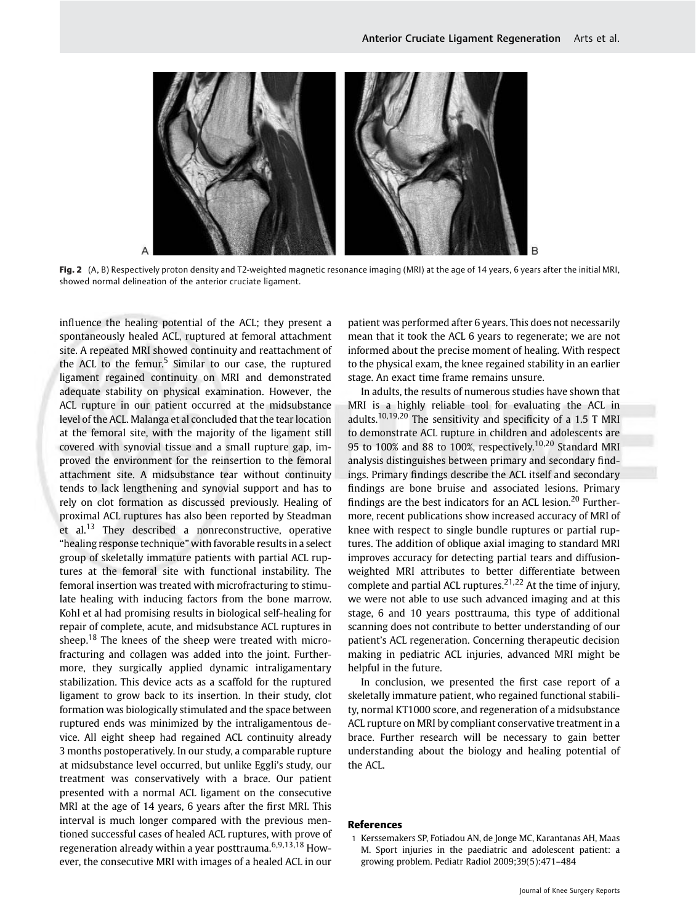

Fig. 2 (A, B) Respectively proton density and T2-weighted magnetic resonance imaging (MRI) at the age of 14 years, 6 years after the initial MRI, showed normal delineation of the anterior cruciate ligament.

influence the healing potential of the ACL; they present a spontaneously healed ACL, ruptured at femoral attachment site. A repeated MRI showed continuity and reattachment of the ACL to the femur.<sup>5</sup> Similar to our case, the ruptured ligament regained continuity on MRI and demonstrated adequate stability on physical examination. However, the ACL rupture in our patient occurred at the midsubstance level of the ACL. Malanga et al concluded that the tear location at the femoral site, with the majority of the ligament still covered with synovial tissue and a small rupture gap, improved the environment for the reinsertion to the femoral attachment site. A midsubstance tear without continuity tends to lack lengthening and synovial support and has to rely on clot formation as discussed previously. Healing of proximal ACL ruptures has also been reported by Steadman et al.<sup>13</sup> They described a nonreconstructive, operative "healing response technique" with favorable results in a select group of skeletally immature patients with partial ACL ruptures at the femoral site with functional instability. The femoral insertion was treated with microfracturing to stimulate healing with inducing factors from the bone marrow. Kohl et al had promising results in biological self-healing for repair of complete, acute, and midsubstance ACL ruptures in sheep.<sup>18</sup> The knees of the sheep were treated with microfracturing and collagen was added into the joint. Furthermore, they surgically applied dynamic intraligamentary stabilization. This device acts as a scaffold for the ruptured ligament to grow back to its insertion. In their study, clot formation was biologically stimulated and the space between ruptured ends was minimized by the intraligamentous device. All eight sheep had regained ACL continuity already 3 months postoperatively. In our study, a comparable rupture at midsubstance level occurred, but unlike Eggli's study, our treatment was conservatively with a brace. Our patient presented with a normal ACL ligament on the consecutive MRI at the age of 14 years, 6 years after the first MRI. This interval is much longer compared with the previous mentioned successful cases of healed ACL ruptures, with prove of regeneration already within a year posttrauma.<sup>6,9,13,18</sup> However, the consecutive MRI with images of a healed ACL in our

patient was performed after 6 years. This does not necessarily mean that it took the ACL 6 years to regenerate; we are not informed about the precise moment of healing. With respect to the physical exam, the knee regained stability in an earlier stage. An exact time frame remains unsure.

In adults, the results of numerous studies have shown that MRI is a highly reliable tool for evaluating the ACL in adults.<sup>10,19,20</sup> The sensitivity and specificity of a 1.5 T MRI to demonstrate ACL rupture in children and adolescents are 95 to 100% and 88 to 100%, respectively.<sup>10,20</sup> Standard MRI analysis distinguishes between primary and secondary findings. Primary findings describe the ACL itself and secondary findings are bone bruise and associated lesions. Primary findings are the best indicators for an ACL lesion.<sup>20</sup> Furthermore, recent publications show increased accuracy of MRI of knee with respect to single bundle ruptures or partial ruptures. The addition of oblique axial imaging to standard MRI improves accuracy for detecting partial tears and diffusionweighted MRI attributes to better differentiate between complete and partial ACL ruptures.<sup>21,22</sup> At the time of injury, we were not able to use such advanced imaging and at this stage, 6 and 10 years posttrauma, this type of additional scanning does not contribute to better understanding of our patient's ACL regeneration. Concerning therapeutic decision making in pediatric ACL injuries, advanced MRI might be helpful in the future.

In conclusion, we presented the first case report of a skeletally immature patient, who regained functional stability, normal KT1000 score, and regeneration of a midsubstance ACL rupture on MRI by compliant conservative treatment in a brace. Further research will be necessary to gain better understanding about the biology and healing potential of the ACL.

## References

1 Kerssemakers SP, Fotiadou AN, de Jonge MC, Karantanas AH, Maas M. Sport injuries in the paediatric and adolescent patient: a growing problem. Pediatr Radiol 2009;39(5):471–484